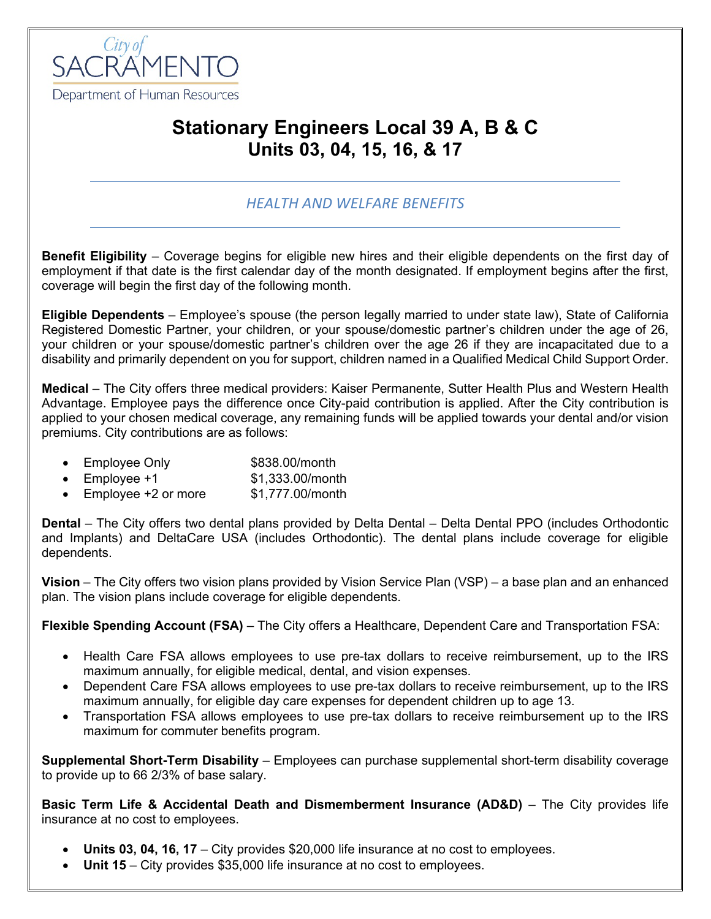

## **Stationary Engineers Local 39 A, B & C Units 03, 04, 15, 16, & 17**

## *HEALTH AND WELFARE BENEFITS*

**Benefit Eligibility** – Coverage begins for eligible new hires and their eligible dependents on the first day of employment if that date is the first calendar day of the month designated. If employment begins after the first, coverage will begin the first day of the following month.

**Eligible Dependents** – Employee's spouse (the person legally married to under state law), State of California Registered Domestic Partner, your children, or your spouse/domestic partner's children under the age of 26, your children or your spouse/domestic partner's children over the age 26 if they are incapacitated due to a disability and primarily dependent on you for support, children named in a Qualified Medical Child Support Order.

**Medical** – The City offers three medical providers: Kaiser Permanente, Sutter Health Plus and Western Health Advantage. Employee pays the difference once City-paid contribution is applied. After the City contribution is applied to your chosen medical coverage, any remaining funds will be applied towards your dental and/or vision premiums. City contributions are as follows:

- Employee Only \$838.00/month
- Employee  $+1$  \$1,333.00/month
- Employee +2 or more \$1,777.00/month

**Dental** – The City offers two dental plans provided by Delta Dental – Delta Dental PPO (includes Orthodontic and Implants) and DeltaCare USA (includes Orthodontic). The dental plans include coverage for eligible dependents.

**Vision** – The City offers two vision plans provided by Vision Service Plan (VSP) – a base plan and an enhanced plan. The vision plans include coverage for eligible dependents.

**Flexible Spending Account (FSA)** – The City offers a Healthcare, Dependent Care and Transportation FSA:

- Health Care FSA allows employees to use pre-tax dollars to receive reimbursement, up to the IRS maximum annually, for eligible medical, dental, and vision expenses.
- Dependent Care FSA allows employees to use pre-tax dollars to receive reimbursement, up to the IRS maximum annually, for eligible day care expenses for dependent children up to age 13.
- Transportation FSA allows employees to use pre-tax dollars to receive reimbursement up to the IRS maximum for commuter benefits program.

**Supplemental Short-Term Disability** – Employees can purchase supplemental short-term disability coverage to provide up to 66 2/3% of base salary.

**Basic Term Life & Accidental Death and Dismemberment Insurance (AD&D)** – The City provides life insurance at no cost to employees.

- **Units 03, 04, 16, 17**  City provides \$20,000 life insurance at no cost to employees.
- **Unit 15** City provides \$35,000 life insurance at no cost to employees.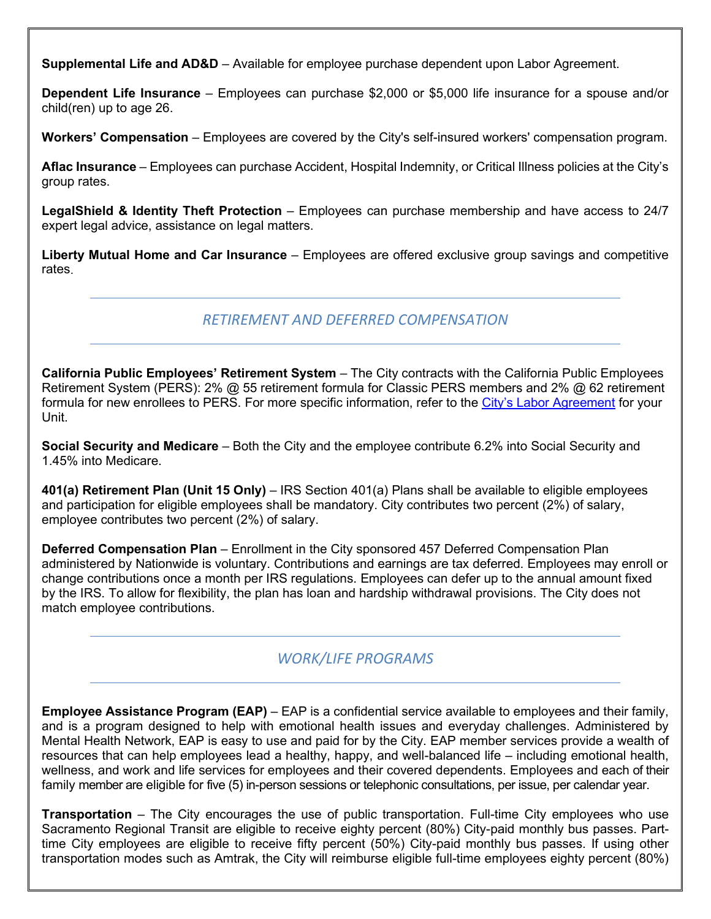**Supplemental Life and AD&D** – Available for employee purchase dependent upon Labor Agreement.

**Dependent Life Insurance** – Employees can purchase \$2,000 or \$5,000 life insurance for a spouse and/or child(ren) up to age 26.

**Workers' Compensation** – Employees are covered by the City's self-insured workers' compensation program.

**Aflac Insurance** – Employees can purchase Accident, Hospital Indemnity, or Critical Illness policies at the City's group rates.

**LegalShield & Identity Theft Protection** – Employees can purchase membership and have access to 24/7 expert legal advice, assistance on legal matters.

**Liberty Mutual Home and Car Insurance** – Employees are offered exclusive group savings and competitive rates.

*RETIREMENT AND DEFERRED COMPENSATION*

**California Public Employees' Retirement System** – The City contracts with the California Public Employees Retirement System (PERS): 2% @ 55 retirement formula for Classic PERS members and 2% @ 62 retirement formula for new enrollees to PERS. For more specific information, refer to the [City's Labor Agreement](http://www.cityofsacramento.org/HR/Divisions/Labor-Relations/Labor-Agreements) for your Unit.

**Social Security and Medicare** – Both the City and the employee contribute 6.2% into Social Security and 1.45% into Medicare.

**401(a) Retirement Plan (Unit 15 Only)** – IRS Section 401(a) Plans shall be available to eligible employees and participation for eligible employees shall be mandatory. City contributes two percent (2%) of salary, employee contributes two percent (2%) of salary.

**Deferred Compensation Plan** – Enrollment in the City sponsored 457 Deferred Compensation Plan administered by Nationwide is voluntary. Contributions and earnings are tax deferred. Employees may enroll or change contributions once a month per IRS regulations. Employees can defer up to the annual amount fixed by the IRS. To allow for flexibility, the plan has loan and hardship withdrawal provisions. The City does not match employee contributions.

## *WORK/LIFE PROGRAMS*

**Employee Assistance Program (EAP)** – EAP is a confidential service available to employees and their family, and is a program designed to help with emotional health issues and everyday challenges. Administered by Mental Health Network, EAP is easy to use and paid for by the City. EAP member services provide a wealth of resources that can help employees lead a healthy, happy, and well-balanced life – including emotional health, wellness, and work and life services for employees and their covered dependents. Employees and each of their family member are eligible for five (5) in-person sessions or telephonic consultations, per issue, per calendar year.

**Transportation** – The City encourages the use of public transportation. Full-time City employees who use Sacramento Regional Transit are eligible to receive eighty percent (80%) City-paid monthly bus passes. Parttime City employees are eligible to receive fifty percent (50%) City-paid monthly bus passes. If using other transportation modes such as Amtrak, the City will reimburse eligible full-time employees eighty percent (80%)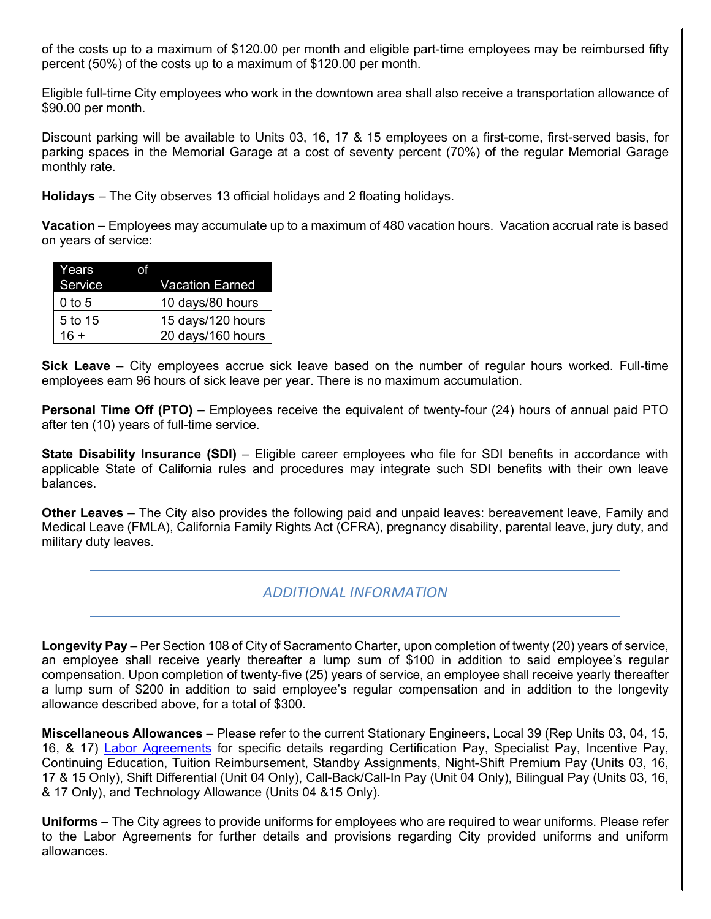of the costs up to a maximum of \$120.00 per month and eligible part-time employees may be reimbursed fifty percent (50%) of the costs up to a maximum of \$120.00 per month.

Eligible full-time City employees who work in the downtown area shall also receive a transportation allowance of \$90.00 per month.

Discount parking will be available to Units 03, 16, 17 & 15 employees on a first-come, first-served basis, for parking spaces in the Memorial Garage at a cost of seventy percent (70%) of the regular Memorial Garage monthly rate.

**Holidays** – The City observes 13 official holidays and 2 floating holidays.

**Vacation** – Employees may accumulate up to a maximum of 480 vacation hours. Vacation accrual rate is based on years of service:

| Years    |                   |
|----------|-------------------|
| Service  | Vacation Earned   |
| $0$ to 5 | 10 days/80 hours  |
| 5 to 15  | 15 days/120 hours |
| $16 +$   | 20 days/160 hours |

**Sick Leave** – City employees accrue sick leave based on the number of regular hours worked. Full-time employees earn 96 hours of sick leave per year. There is no maximum accumulation.

**Personal Time Off (PTO)** – Employees receive the equivalent of twenty-four (24) hours of annual paid PTO after ten (10) years of full-time service.

**State Disability Insurance (SDI)** – Eligible career employees who file for SDI benefits in accordance with applicable State of California rules and procedures may integrate such SDI benefits with their own leave balances.

**Other Leaves** – The City also provides the following paid and unpaid leaves: bereavement leave, Family and Medical Leave (FMLA), California Family Rights Act (CFRA), pregnancy disability, parental leave, jury duty, and military duty leaves.

## *ADDITIONAL INFORMATION*

**Longevity Pay** – Per Section 108 of City of Sacramento Charter, upon completion of twenty (20) years of service, an employee shall receive yearly thereafter a lump sum of \$100 in addition to said employee's regular compensation. Upon completion of twenty-five (25) years of service, an employee shall receive yearly thereafter a lump sum of \$200 in addition to said employee's regular compensation and in addition to the longevity allowance described above, for a total of \$300.

**Miscellaneous Allowances** – Please refer to the current Stationary Engineers, Local 39 (Rep Units 03, 04, 15, 16, & 17) [Labor Agreements](http://www.cityofsacramento.org/HR/Divisions/Labor-Relations/Labor-Agreements) for specific details regarding Certification Pay, Specialist Pay, Incentive Pay, Continuing Education, Tuition Reimbursement, Standby Assignments, Night-Shift Premium Pay (Units 03, 16, 17 & 15 Only), Shift Differential (Unit 04 Only), Call-Back/Call-In Pay (Unit 04 Only), Bilingual Pay (Units 03, 16, & 17 Only), and Technology Allowance (Units 04 &15 Only).

**Uniforms** – The City agrees to provide uniforms for employees who are required to wear uniforms. Please refer to the Labor Agreements for further details and provisions regarding City provided uniforms and uniform allowances.